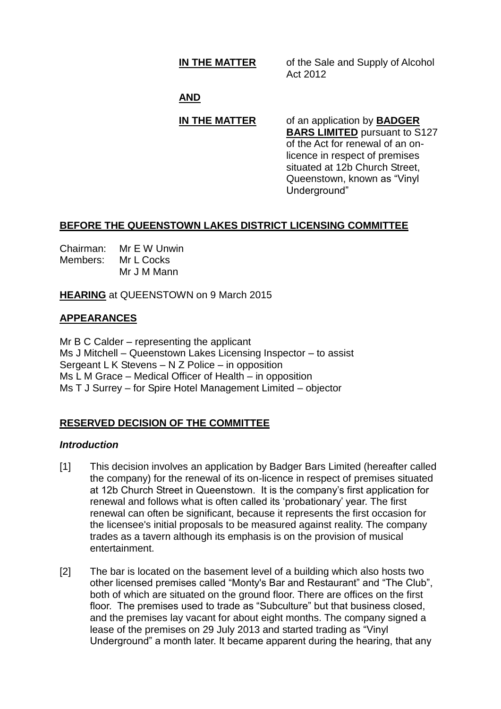**IN THE MATTER** of the Sale and Supply of Alcohol Act 2012

## **AND**

# **IN THE MATTER** of an application by **BADGER BARS LIMITED** pursuant to S127

of the Act for renewal of an onlicence in respect of premises situated at 12b Church Street, Queenstown, known as "Vinyl Underground"

## **BEFORE THE QUEENSTOWN LAKES DISTRICT LICENSING COMMITTEE**

| Chairman: | Mr E W Unwin |
|-----------|--------------|
| Members:  | Mr L Cocks   |
|           | Mr J M Mann  |

**HEARING** at QUEENSTOWN on 9 March 2015

## **APPEARANCES**

Mr B C Calder – representing the applicant Ms J Mitchell – Queenstown Lakes Licensing Inspector – to assist Sergeant L K Stevens – N Z Police – in opposition Ms L M Grace – Medical Officer of Health – in opposition Ms T J Surrey – for Spire Hotel Management Limited – objector

## **RESERVED DECISION OF THE COMMITTEE**

## *Introduction*

- [1] This decision involves an application by Badger Bars Limited (hereafter called the company) for the renewal of its on-licence in respect of premises situated at 12b Church Street in Queenstown. It is the company's first application for renewal and follows what is often called its 'probationary' year. The first renewal can often be significant, because it represents the first occasion for the licensee's initial proposals to be measured against reality. The company trades as a tavern although its emphasis is on the provision of musical entertainment.
- [2] The bar is located on the basement level of a building which also hosts two other licensed premises called "Monty's Bar and Restaurant" and "The Club", both of which are situated on the ground floor. There are offices on the first floor. The premises used to trade as "Subculture" but that business closed, and the premises lay vacant for about eight months. The company signed a lease of the premises on 29 July 2013 and started trading as "Vinyl Underground" a month later. It became apparent during the hearing, that any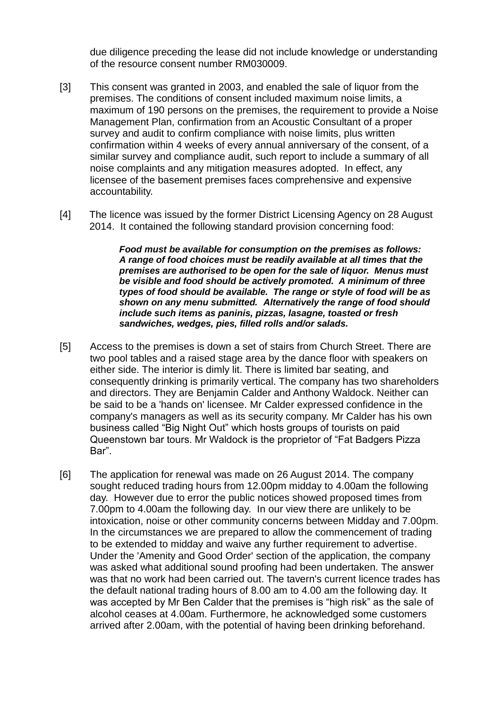due diligence preceding the lease did not include knowledge or understanding of the resource consent number RM030009.

- [3] This consent was granted in 2003, and enabled the sale of liquor from the premises. The conditions of consent included maximum noise limits, a maximum of 190 persons on the premises, the requirement to provide a Noise Management Plan, confirmation from an Acoustic Consultant of a proper survey and audit to confirm compliance with noise limits, plus written confirmation within 4 weeks of every annual anniversary of the consent, of a similar survey and compliance audit, such report to include a summary of all noise complaints and any mitigation measures adopted. In effect, any licensee of the basement premises faces comprehensive and expensive accountability.
- [4] The licence was issued by the former District Licensing Agency on 28 August 2014. It contained the following standard provision concerning food:

*Food must be available for consumption on the premises as follows: A range of food choices must be readily available at all times that the premises are authorised to be open for the sale of liquor. Menus must be visible and food should be actively promoted. A minimum of three types of food should be available. The range or style of food will be as shown on any menu submitted. Alternatively the range of food should include such items as paninis, pizzas, lasagne, toasted or fresh sandwiches, wedges, pies, filled rolls and/or salads.*

- [5] Access to the premises is down a set of stairs from Church Street. There are two pool tables and a raised stage area by the dance floor with speakers on either side. The interior is dimly lit. There is limited bar seating, and consequently drinking is primarily vertical. The company has two shareholders and directors. They are Benjamin Calder and Anthony Waldock. Neither can be said to be a 'hands on' licensee. Mr Calder expressed confidence in the company's managers as well as its security company. Mr Calder has his own business called "Big Night Out" which hosts groups of tourists on paid Queenstown bar tours. Mr Waldock is the proprietor of "Fat Badgers Pizza Bar".
- [6] The application for renewal was made on 26 August 2014. The company sought reduced trading hours from 12.00pm midday to 4.00am the following day. However due to error the public notices showed proposed times from 7.00pm to 4.00am the following day. In our view there are unlikely to be intoxication, noise or other community concerns between Midday and 7.00pm. In the circumstances we are prepared to allow the commencement of trading to be extended to midday and waive any further requirement to advertise. Under the 'Amenity and Good Order' section of the application, the company was asked what additional sound proofing had been undertaken. The answer was that no work had been carried out. The tavern's current licence trades has the default national trading hours of 8.00 am to 4.00 am the following day. It was accepted by Mr Ben Calder that the premises is "high risk" as the sale of alcohol ceases at 4.00am. Furthermore, he acknowledged some customers arrived after 2.00am, with the potential of having been drinking beforehand.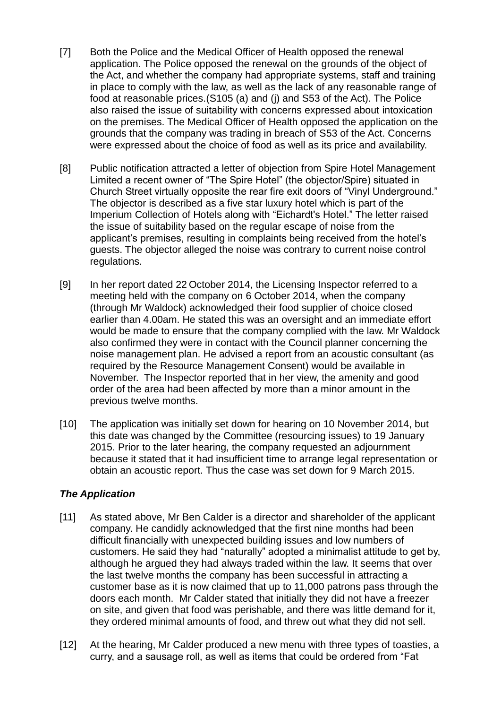- [7] Both the Police and the Medical Officer of Health opposed the renewal application. The Police opposed the renewal on the grounds of the object of the Act, and whether the company had appropriate systems, staff and training in place to comply with the law, as well as the lack of any reasonable range of food at reasonable prices.(S105 (a) and (j) and S53 of the Act). The Police also raised the issue of suitability with concerns expressed about intoxication on the premises. The Medical Officer of Health opposed the application on the grounds that the company was trading in breach of S53 of the Act. Concerns were expressed about the choice of food as well as its price and availability.
- [8] Public notification attracted a letter of objection from Spire Hotel Management Limited a recent owner of "The Spire Hotel" (the objector/Spire) situated in Church Street virtually opposite the rear fire exit doors of "Vinyl Underground." The objector is described as a five star luxury hotel which is part of the Imperium Collection of Hotels along with "Eichardt's Hotel." The letter raised the issue of suitability based on the regular escape of noise from the applicant's premises, resulting in complaints being received from the hotel's guests. The objector alleged the noise was contrary to current noise control regulations.
- [9] In her report dated 22 October 2014, the Licensing Inspector referred to a meeting held with the company on 6 October 2014, when the company (through Mr Waldock) acknowledged their food supplier of choice closed earlier than 4.00am. He stated this was an oversight and an immediate effort would be made to ensure that the company complied with the law. Mr Waldock also confirmed they were in contact with the Council planner concerning the noise management plan. He advised a report from an acoustic consultant (as required by the Resource Management Consent) would be available in November. The Inspector reported that in her view, the amenity and good order of the area had been affected by more than a minor amount in the previous twelve months.
- [10] The application was initially set down for hearing on 10 November 2014, but this date was changed by the Committee (resourcing issues) to 19 January 2015. Prior to the later hearing, the company requested an adjournment because it stated that it had insufficient time to arrange legal representation or obtain an acoustic report. Thus the case was set down for 9 March 2015.

#### *The Application*

- [11] As stated above, Mr Ben Calder is a director and shareholder of the applicant company. He candidly acknowledged that the first nine months had been difficult financially with unexpected building issues and low numbers of customers. He said they had "naturally" adopted a minimalist attitude to get by, although he argued they had always traded within the law. It seems that over the last twelve months the company has been successful in attracting a customer base as it is now claimed that up to 11,000 patrons pass through the doors each month. Mr Calder stated that initially they did not have a freezer on site, and given that food was perishable, and there was little demand for it, they ordered minimal amounts of food, and threw out what they did not sell.
- [12] At the hearing, Mr Calder produced a new menu with three types of toasties, a curry, and a sausage roll, as well as items that could be ordered from "Fat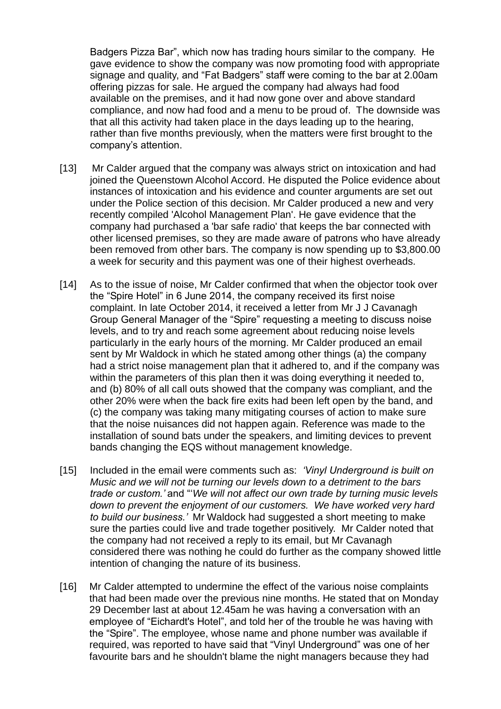Badgers Pizza Bar", which now has trading hours similar to the company. He gave evidence to show the company was now promoting food with appropriate signage and quality, and "Fat Badgers" staff were coming to the bar at 2.00am offering pizzas for sale. He argued the company had always had food available on the premises, and it had now gone over and above standard compliance, and now had food and a menu to be proud of. The downside was that all this activity had taken place in the days leading up to the hearing, rather than five months previously, when the matters were first brought to the company's attention.

- [13] Mr Calder argued that the company was always strict on intoxication and had joined the Queenstown Alcohol Accord. He disputed the Police evidence about instances of intoxication and his evidence and counter arguments are set out under the Police section of this decision. Mr Calder produced a new and very recently compiled 'Alcohol Management Plan'. He gave evidence that the company had purchased a 'bar safe radio' that keeps the bar connected with other licensed premises, so they are made aware of patrons who have already been removed from other bars. The company is now spending up to \$3,800.00 a week for security and this payment was one of their highest overheads.
- [14] As to the issue of noise, Mr Calder confirmed that when the objector took over the "Spire Hotel" in 6 June 2014, the company received its first noise complaint. In late October 2014, it received a letter from Mr J J Cavanagh Group General Manager of the "Spire" requesting a meeting to discuss noise levels, and to try and reach some agreement about reducing noise levels particularly in the early hours of the morning. Mr Calder produced an email sent by Mr Waldock in which he stated among other things (a) the company had a strict noise management plan that it adhered to, and if the company was within the parameters of this plan then it was doing everything it needed to, and (b) 80% of all call outs showed that the company was compliant, and the other 20% were when the back fire exits had been left open by the band, and (c) the company was taking many mitigating courses of action to make sure that the noise nuisances did not happen again. Reference was made to the installation of sound bats under the speakers, and limiting devices to prevent bands changing the EQS without management knowledge.
- [15] Included in the email were comments such as: *'Vinyl Underground is built on Music and we will not be turning our levels down to a detriment to the bars trade or custom.'* and "'*We will not affect our own trade by turning music levels down to prevent the enjoyment of our customers. We have worked very hard to build our business.'* Mr Waldock had suggested a short meeting to make sure the parties could live and trade together positively. Mr Calder noted that the company had not received a reply to its email, but Mr Cavanagh considered there was nothing he could do further as the company showed little intention of changing the nature of its business.
- [16] Mr Calder attempted to undermine the effect of the various noise complaints that had been made over the previous nine months. He stated that on Monday 29 December last at about 12.45am he was having a conversation with an employee of "Eichardt's Hotel", and told her of the trouble he was having with the "Spire". The employee, whose name and phone number was available if required, was reported to have said that "Vinyl Underground" was one of her favourite bars and he shouldn't blame the night managers because they had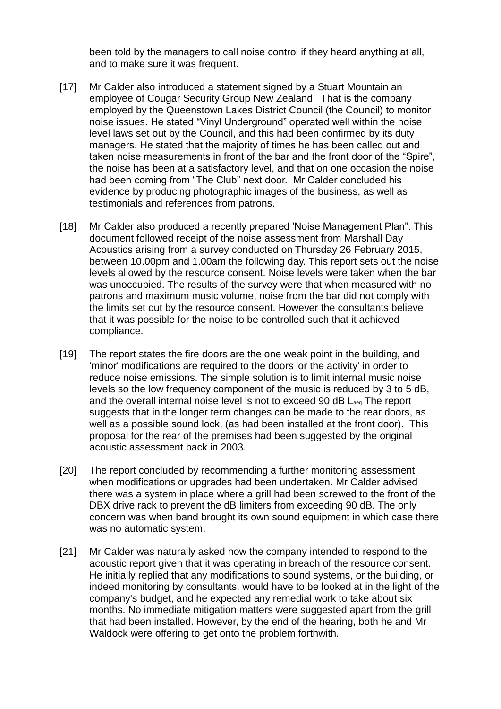been told by the managers to call noise control if they heard anything at all, and to make sure it was frequent.

- [17] Mr Calder also introduced a statement signed by a Stuart Mountain an employee of Cougar Security Group New Zealand. That is the company employed by the Queenstown Lakes District Council (the Council) to monitor noise issues. He stated "Vinyl Underground" operated well within the noise level laws set out by the Council, and this had been confirmed by its duty managers. He stated that the majority of times he has been called out and taken noise measurements in front of the bar and the front door of the "Spire", the noise has been at a satisfactory level, and that on one occasion the noise had been coming from "The Club" next door. Mr Calder concluded his evidence by producing photographic images of the business, as well as testimonials and references from patrons.
- [18] Mr Calder also produced a recently prepared 'Noise Management Plan". This document followed receipt of the noise assessment from Marshall Day Acoustics arising from a survey conducted on Thursday 26 February 2015, between 10.00pm and 1.00am the following day. This report sets out the noise levels allowed by the resource consent. Noise levels were taken when the bar was unoccupied. The results of the survey were that when measured with no patrons and maximum music volume, noise from the bar did not comply with the limits set out by the resource consent. However the consultants believe that it was possible for the noise to be controlled such that it achieved compliance.
- [19] The report states the fire doors are the one weak point in the building, and 'minor' modifications are required to the doors 'or the activity' in order to reduce noise emissions. The simple solution is to limit internal music noise levels so the low frequency component of the music is reduced by 3 to 5 dB, and the overall internal noise level is not to exceed 90 dB Laeq. The report suggests that in the longer term changes can be made to the rear doors, as well as a possible sound lock, (as had been installed at the front door). This proposal for the rear of the premises had been suggested by the original acoustic assessment back in 2003.
- [20] The report concluded by recommending a further monitoring assessment when modifications or upgrades had been undertaken. Mr Calder advised there was a system in place where a grill had been screwed to the front of the DBX drive rack to prevent the dB limiters from exceeding 90 dB. The only concern was when band brought its own sound equipment in which case there was no automatic system.
- [21] Mr Calder was naturally asked how the company intended to respond to the acoustic report given that it was operating in breach of the resource consent. He initially replied that any modifications to sound systems, or the building, or indeed monitoring by consultants, would have to be looked at in the light of the company's budget, and he expected any remedial work to take about six months. No immediate mitigation matters were suggested apart from the grill that had been installed. However, by the end of the hearing, both he and Mr Waldock were offering to get onto the problem forthwith.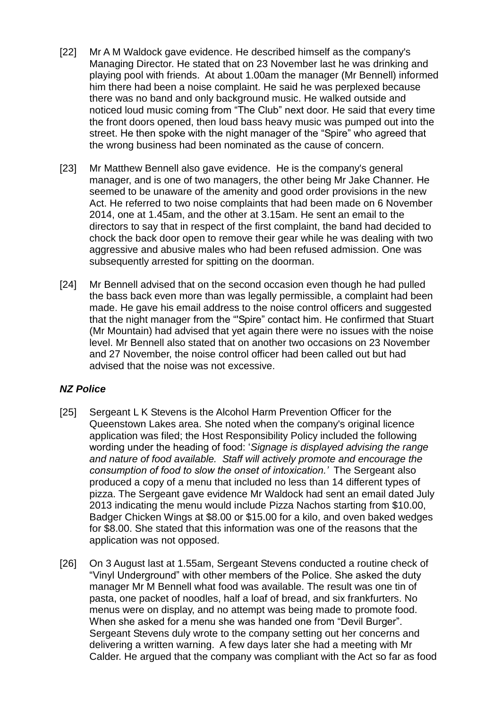- [22] Mr A M Waldock gave evidence. He described himself as the company's Managing Director. He stated that on 23 November last he was drinking and playing pool with friends. At about 1.00am the manager (Mr Bennell) informed him there had been a noise complaint. He said he was perplexed because there was no band and only background music. He walked outside and noticed loud music coming from "The Club" next door. He said that every time the front doors opened, then loud bass heavy music was pumped out into the street. He then spoke with the night manager of the "Spire" who agreed that the wrong business had been nominated as the cause of concern.
- [23] Mr Matthew Bennell also gave evidence. He is the company's general manager, and is one of two managers, the other being Mr Jake Channer. He seemed to be unaware of the amenity and good order provisions in the new Act. He referred to two noise complaints that had been made on 6 November 2014, one at 1.45am, and the other at 3.15am. He sent an email to the directors to say that in respect of the first complaint, the band had decided to chock the back door open to remove their gear while he was dealing with two aggressive and abusive males who had been refused admission. One was subsequently arrested for spitting on the doorman.
- [24] Mr Bennell advised that on the second occasion even though he had pulled the bass back even more than was legally permissible, a complaint had been made. He gave his email address to the noise control officers and suggested that the night manager from the "'Spire" contact him. He confirmed that Stuart (Mr Mountain) had advised that yet again there were no issues with the noise level. Mr Bennell also stated that on another two occasions on 23 November and 27 November, the noise control officer had been called out but had advised that the noise was not excessive.

## *NZ Police*

- [25] Sergeant L K Stevens is the Alcohol Harm Prevention Officer for the Queenstown Lakes area. She noted when the company's original licence application was filed; the Host Responsibility Policy included the following wording under the heading of food: '*Signage is displayed advising the range and nature of food available. Staff will actively promote and encourage the consumption of food to slow the onset of intoxication.'* The Sergeant also produced a copy of a menu that included no less than 14 different types of pizza. The Sergeant gave evidence Mr Waldock had sent an email dated July 2013 indicating the menu would include Pizza Nachos starting from \$10.00, Badger Chicken Wings at \$8.00 or \$15.00 for a kilo, and oven baked wedges for \$8.00. She stated that this information was one of the reasons that the application was not opposed.
- [26] On 3 August last at 1.55am, Sergeant Stevens conducted a routine check of "Vinyl Underground" with other members of the Police. She asked the duty manager Mr M Bennell what food was available. The result was one tin of pasta, one packet of noodles, half a loaf of bread, and six frankfurters. No menus were on display, and no attempt was being made to promote food. When she asked for a menu she was handed one from "Devil Burger". Sergeant Stevens duly wrote to the company setting out her concerns and delivering a written warning. A few days later she had a meeting with Mr Calder. He argued that the company was compliant with the Act so far as food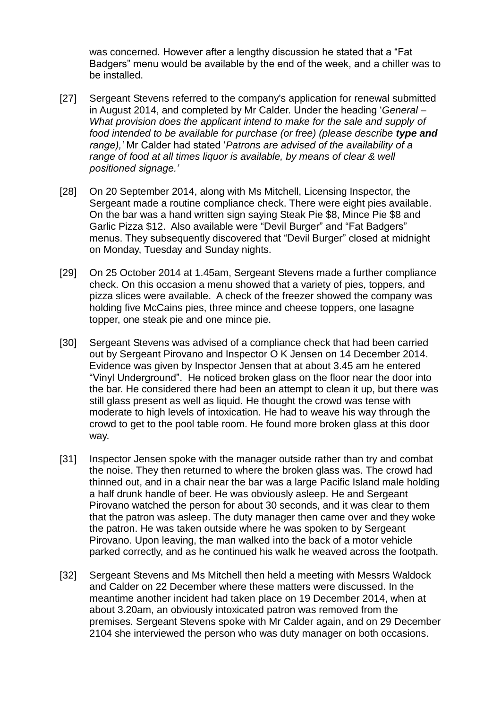was concerned. However after a lengthy discussion he stated that a "Fat Badgers" menu would be available by the end of the week, and a chiller was to be installed.

- [27] Sergeant Stevens referred to the company's application for renewal submitted in August 2014, and completed by Mr Calder. Under the heading '*General – What provision does the applicant intend to make for the sale and supply of food intended to be available for purchase (or free) (please describe type and range),'* Mr Calder had stated '*Patrons are advised of the availability of a range of food at all times liquor is available, by means of clear & well positioned signage.'*
- [28] On 20 September 2014, along with Ms Mitchell, Licensing Inspector, the Sergeant made a routine compliance check. There were eight pies available. On the bar was a hand written sign saying Steak Pie \$8, Mince Pie \$8 and Garlic Pizza \$12. Also available were "Devil Burger" and "Fat Badgers" menus. They subsequently discovered that "Devil Burger" closed at midnight on Monday, Tuesday and Sunday nights.
- [29] On 25 October 2014 at 1.45am, Sergeant Stevens made a further compliance check. On this occasion a menu showed that a variety of pies, toppers, and pizza slices were available. A check of the freezer showed the company was holding five McCains pies, three mince and cheese toppers, one lasagne topper, one steak pie and one mince pie.
- [30] Sergeant Stevens was advised of a compliance check that had been carried out by Sergeant Pirovano and Inspector O K Jensen on 14 December 2014. Evidence was given by Inspector Jensen that at about 3.45 am he entered "Vinyl Underground". He noticed broken glass on the floor near the door into the bar. He considered there had been an attempt to clean it up, but there was still glass present as well as liquid. He thought the crowd was tense with moderate to high levels of intoxication. He had to weave his way through the crowd to get to the pool table room. He found more broken glass at this door way.
- [31] Inspector Jensen spoke with the manager outside rather than try and combat the noise. They then returned to where the broken glass was. The crowd had thinned out, and in a chair near the bar was a large Pacific Island male holding a half drunk handle of beer. He was obviously asleep. He and Sergeant Pirovano watched the person for about 30 seconds, and it was clear to them that the patron was asleep. The duty manager then came over and they woke the patron. He was taken outside where he was spoken to by Sergeant Pirovano. Upon leaving, the man walked into the back of a motor vehicle parked correctly, and as he continued his walk he weaved across the footpath.
- [32] Sergeant Stevens and Ms Mitchell then held a meeting with Messrs Waldock and Calder on 22 December where these matters were discussed. In the meantime another incident had taken place on 19 December 2014, when at about 3.20am, an obviously intoxicated patron was removed from the premises. Sergeant Stevens spoke with Mr Calder again, and on 29 December 2104 she interviewed the person who was duty manager on both occasions.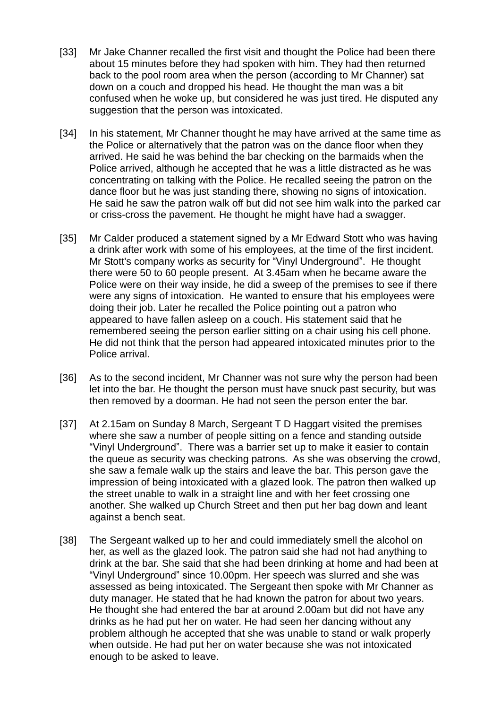- [33] Mr Jake Channer recalled the first visit and thought the Police had been there about 15 minutes before they had spoken with him. They had then returned back to the pool room area when the person (according to Mr Channer) sat down on a couch and dropped his head. He thought the man was a bit confused when he woke up, but considered he was just tired. He disputed any suggestion that the person was intoxicated.
- [34] In his statement, Mr Channer thought he may have arrived at the same time as the Police or alternatively that the patron was on the dance floor when they arrived. He said he was behind the bar checking on the barmaids when the Police arrived, although he accepted that he was a little distracted as he was concentrating on talking with the Police. He recalled seeing the patron on the dance floor but he was just standing there, showing no signs of intoxication. He said he saw the patron walk off but did not see him walk into the parked car or criss-cross the pavement. He thought he might have had a swagger.
- [35] Mr Calder produced a statement signed by a Mr Edward Stott who was having a drink after work with some of his employees, at the time of the first incident. Mr Stott's company works as security for "Vinyl Underground". He thought there were 50 to 60 people present. At 3.45am when he became aware the Police were on their way inside, he did a sweep of the premises to see if there were any signs of intoxication. He wanted to ensure that his employees were doing their job. Later he recalled the Police pointing out a patron who appeared to have fallen asleep on a couch. His statement said that he remembered seeing the person earlier sitting on a chair using his cell phone. He did not think that the person had appeared intoxicated minutes prior to the Police arrival.
- [36] As to the second incident, Mr Channer was not sure why the person had been let into the bar. He thought the person must have snuck past security, but was then removed by a doorman. He had not seen the person enter the bar.
- [37] At 2.15am on Sunday 8 March, Sergeant T D Haggart visited the premises where she saw a number of people sitting on a fence and standing outside "Vinyl Underground". There was a barrier set up to make it easier to contain the queue as security was checking patrons. As she was observing the crowd, she saw a female walk up the stairs and leave the bar. This person gave the impression of being intoxicated with a glazed look. The patron then walked up the street unable to walk in a straight line and with her feet crossing one another. She walked up Church Street and then put her bag down and leant against a bench seat.
- [38] The Sergeant walked up to her and could immediately smell the alcohol on her, as well as the glazed look. The patron said she had not had anything to drink at the bar. She said that she had been drinking at home and had been at "Vinyl Underground" since 10.00pm. Her speech was slurred and she was assessed as being intoxicated. The Sergeant then spoke with Mr Channer as duty manager. He stated that he had known the patron for about two years. He thought she had entered the bar at around 2.00am but did not have any drinks as he had put her on water. He had seen her dancing without any problem although he accepted that she was unable to stand or walk properly when outside. He had put her on water because she was not intoxicated enough to be asked to leave.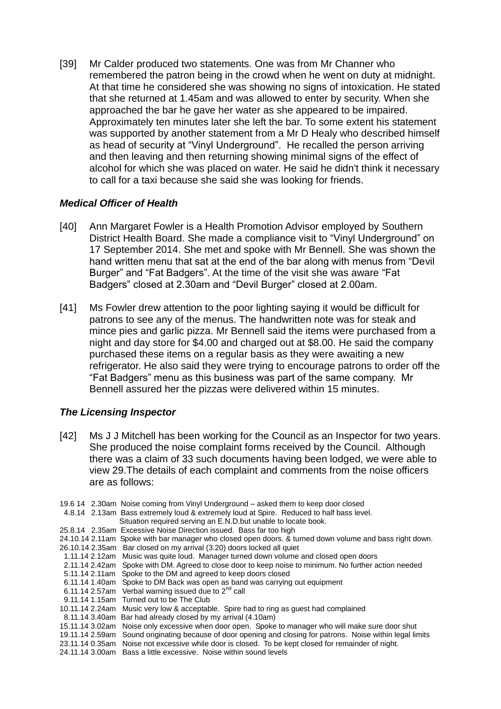[39] Mr Calder produced two statements. One was from Mr Channer who remembered the patron being in the crowd when he went on duty at midnight. At that time he considered she was showing no signs of intoxication. He stated that she returned at 1.45am and was allowed to enter by security. When she approached the bar he gave her water as she appeared to be impaired. Approximately ten minutes later she left the bar. To some extent his statement was supported by another statement from a Mr D Healy who described himself as head of security at "Vinyl Underground". He recalled the person arriving and then leaving and then returning showing minimal signs of the effect of alcohol for which she was placed on water. He said he didn't think it necessary to call for a taxi because she said she was looking for friends.

### *Medical Officer of Health*

- [40] Ann Margaret Fowler is a Health Promotion Advisor employed by Southern District Health Board. She made a compliance visit to "Vinyl Underground" on 17 September 2014. She met and spoke with Mr Bennell. She was shown the hand written menu that sat at the end of the bar along with menus from "Devil Burger" and "Fat Badgers". At the time of the visit she was aware "Fat Badgers" closed at 2.30am and "Devil Burger" closed at 2.00am.
- [41] Ms Fowler drew attention to the poor lighting saying it would be difficult for patrons to see any of the menus. The handwritten note was for steak and mince pies and garlic pizza. Mr Bennell said the items were purchased from a night and day store for \$4.00 and charged out at \$8.00. He said the company purchased these items on a regular basis as they were awaiting a new refrigerator. He also said they were trying to encourage patrons to order off the "Fat Badgers" menu as this business was part of the same company. Mr Bennell assured her the pizzas were delivered within 15 minutes.

## *The Licensing Inspector*

- [42] Ms J J Mitchell has been working for the Council as an Inspector for two years. She produced the noise complaint forms received by the Council. Although there was a claim of 33 such documents having been lodged, we were able to view 29.The details of each complaint and comments from the noise officers are as follows:
- 19.6 14 2.30am Noise coming from Vinyl Underground asked them to keep door closed 4.8.14 2.13am Bass extremely loud & extremely loud at Spire. Reduced to half bass level.
	- Situation required serving an E.N.D.but unable to locate book.
- 25.8.14 2.35am Excessive Noise Direction issued. Bass far too high
- 24.10.14 2.11am Spoke with bar manager who closed open doors. & turned down volume and bass right down.
- 26.10.14 2.35am Bar closed on my arrival (3.20) doors locked all quiet
- 1.11.14 2.12am Music was quite loud. Manager turned down volume and closed open doors
- 2.11.14 2.42am Spoke with DM. Agreed to close door to keep noise to minimum. No further action needed 5.11.14 2.11am Spoke to the DM and agreed to keep doors closed
- 6.11.14 1.40am Spoke to DM Back was open as band was carrying out equipment
- 6.11.14 2.57am Verbal warning issued due to  $2^{nd}$  call
- 9.11.14 1.15am Turned out to be The Club
- 10.11.14 2.24am Music very low & acceptable. Spire had to ring as guest had complained
- 8.11.14 3.40am Bar had already closed by my arrival (4.10am)
- 15.11.14 3.02am Noise only excessive when door open. Spoke to manager who will make sure door shut
- 19.11.14 2.59am Sound originating because of door opening and closing for patrons. Noise within legal limits
- 23.11.14 0.35am Noise not excessive while door is closed. To be kept closed for remainder of night.
- 24.11.14 3.00am Bass a little excessive. Noise within sound levels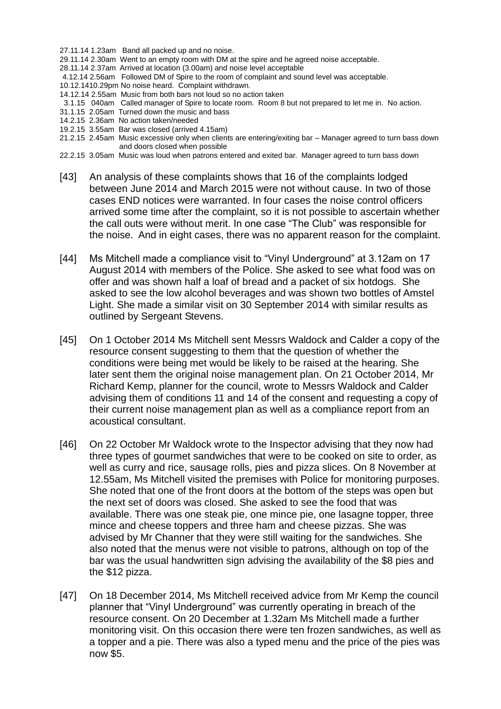- 27.11.14 1.23am Band all packed up and no noise.
- 29.11.14 2.30am Went to an empty room with DM at the spire and he agreed noise acceptable.
- 28.11.14 2.37am Arrived at location (3.00am) and noise level acceptable
- 4.12.14 2.56am Followed DM of Spire to the room of complaint and sound level was acceptable.
- 10.12.1410.29pm No noise heard. Complaint withdrawn.
- 14.12.14 2.55am Music from both bars not loud so no action taken
- 3.1.15 040am Called manager of Spire to locate room. Room 8 but not prepared to let me in. No action.
- 31.1.15 2.05am Turned down the music and bass
- 14.2.15 2.36am No action taken/needed
- 19.2.15 3.55am Bar was closed (arrived 4.15am)
- 21.2.15 2.45am Music excessive only when clients are entering/exiting bar Manager agreed to turn bass down and doors closed when possible
- 22.2.15 3.05am Music was loud when patrons entered and exited bar. Manager agreed to turn bass down
- [43] An analysis of these complaints shows that 16 of the complaints lodged between June 2014 and March 2015 were not without cause. In two of those cases END notices were warranted. In four cases the noise control officers arrived some time after the complaint, so it is not possible to ascertain whether the call outs were without merit. In one case "The Club" was responsible for the noise. And in eight cases, there was no apparent reason for the complaint.
- [44] Ms Mitchell made a compliance visit to "Vinyl Underground" at 3.12am on 17 August 2014 with members of the Police. She asked to see what food was on offer and was shown half a loaf of bread and a packet of six hotdogs. She asked to see the low alcohol beverages and was shown two bottles of Amstel Light. She made a similar visit on 30 September 2014 with similar results as outlined by Sergeant Stevens.
- [45] On 1 October 2014 Ms Mitchell sent Messrs Waldock and Calder a copy of the resource consent suggesting to them that the question of whether the conditions were being met would be likely to be raised at the hearing. She later sent them the original noise management plan. On 21 October 2014, Mr Richard Kemp, planner for the council, wrote to Messrs Waldock and Calder advising them of conditions 11 and 14 of the consent and requesting a copy of their current noise management plan as well as a compliance report from an acoustical consultant.
- [46] On 22 October Mr Waldock wrote to the Inspector advising that they now had three types of gourmet sandwiches that were to be cooked on site to order, as well as curry and rice, sausage rolls, pies and pizza slices. On 8 November at 12.55am, Ms Mitchell visited the premises with Police for monitoring purposes. She noted that one of the front doors at the bottom of the steps was open but the next set of doors was closed. She asked to see the food that was available. There was one steak pie, one mince pie, one lasagne topper, three mince and cheese toppers and three ham and cheese pizzas. She was advised by Mr Channer that they were still waiting for the sandwiches. She also noted that the menus were not visible to patrons, although on top of the bar was the usual handwritten sign advising the availability of the \$8 pies and the \$12 pizza.
- [47] On 18 December 2014, Ms Mitchell received advice from Mr Kemp the council planner that "Vinyl Underground" was currently operating in breach of the resource consent. On 20 December at 1.32am Ms Mitchell made a further monitoring visit. On this occasion there were ten frozen sandwiches, as well as a topper and a pie. There was also a typed menu and the price of the pies was now \$5.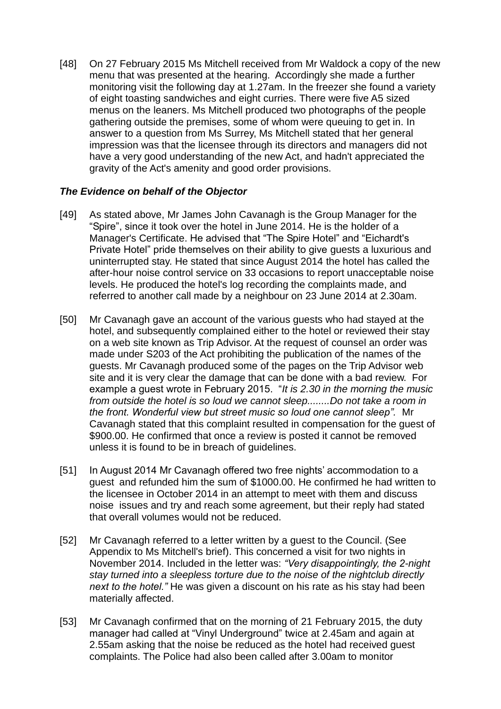[48] On 27 February 2015 Ms Mitchell received from Mr Waldock a copy of the new menu that was presented at the hearing. Accordingly she made a further monitoring visit the following day at 1.27am. In the freezer she found a variety of eight toasting sandwiches and eight curries. There were five A5 sized menus on the leaners. Ms Mitchell produced two photographs of the people gathering outside the premises, some of whom were queuing to get in. In answer to a question from Ms Surrey, Ms Mitchell stated that her general impression was that the licensee through its directors and managers did not have a very good understanding of the new Act, and hadn't appreciated the gravity of the Act's amenity and good order provisions.

#### *The Evidence on behalf of the Objector*

- [49] As stated above, Mr James John Cavanagh is the Group Manager for the "Spire", since it took over the hotel in June 2014. He is the holder of a Manager's Certificate. He advised that "The Spire Hotel" and "Eichardt's Private Hotel" pride themselves on their ability to give guests a luxurious and uninterrupted stay. He stated that since August 2014 the hotel has called the after-hour noise control service on 33 occasions to report unacceptable noise levels. He produced the hotel's log recording the complaints made, and referred to another call made by a neighbour on 23 June 2014 at 2.30am.
- [50] Mr Cavanagh gave an account of the various guests who had stayed at the hotel, and subsequently complained either to the hotel or reviewed their stay on a web site known as Trip Advisor. At the request of counsel an order was made under S203 of the Act prohibiting the publication of the names of the guests. Mr Cavanagh produced some of the pages on the Trip Advisor web site and it is very clear the damage that can be done with a bad review. For example a guest wrote in February 2015. "*It is 2.30 in the morning the music from outside the hotel is so loud we cannot sleep........Do not take a room in the front. Wonderful view but street music so loud one cannot sleep".* Mr Cavanagh stated that this complaint resulted in compensation for the guest of \$900.00. He confirmed that once a review is posted it cannot be removed unless it is found to be in breach of guidelines.
- [51] In August 2014 Mr Cavanagh offered two free nights' accommodation to a guest and refunded him the sum of \$1000.00. He confirmed he had written to the licensee in October 2014 in an attempt to meet with them and discuss noise issues and try and reach some agreement, but their reply had stated that overall volumes would not be reduced.
- [52] Mr Cavanagh referred to a letter written by a guest to the Council. (See Appendix to Ms Mitchell's brief). This concerned a visit for two nights in November 2014. Included in the letter was: *"Very disappointingly, the 2-night stay turned into a sleepless torture due to the noise of the nightclub directly next to the hotel."* He was given a discount on his rate as his stay had been materially affected.
- [53] Mr Cavanagh confirmed that on the morning of 21 February 2015, the duty manager had called at "Vinyl Underground" twice at 2.45am and again at 2.55am asking that the noise be reduced as the hotel had received guest complaints. The Police had also been called after 3.00am to monitor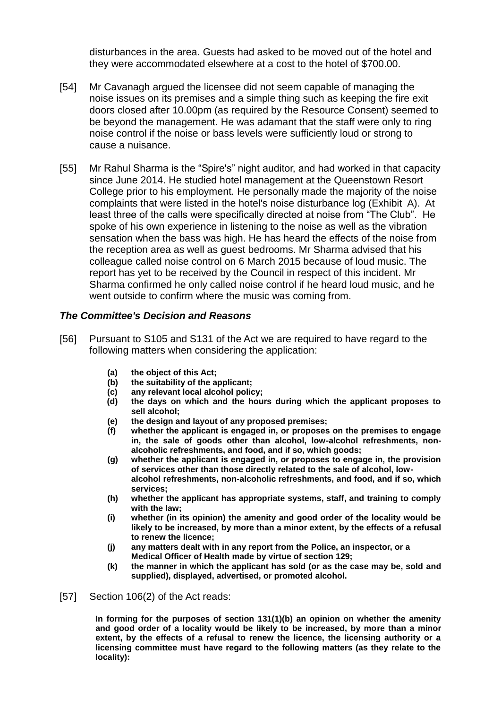disturbances in the area. Guests had asked to be moved out of the hotel and they were accommodated elsewhere at a cost to the hotel of \$700.00.

- [54] Mr Cavanagh argued the licensee did not seem capable of managing the noise issues on its premises and a simple thing such as keeping the fire exit doors closed after 10.00pm (as required by the Resource Consent) seemed to be beyond the management. He was adamant that the staff were only to ring noise control if the noise or bass levels were sufficiently loud or strong to cause a nuisance.
- [55] Mr Rahul Sharma is the "Spire's" night auditor, and had worked in that capacity since June 2014. He studied hotel management at the Queenstown Resort College prior to his employment. He personally made the majority of the noise complaints that were listed in the hotel's noise disturbance log (Exhibit A). At least three of the calls were specifically directed at noise from "The Club". He spoke of his own experience in listening to the noise as well as the vibration sensation when the bass was high. He has heard the effects of the noise from the reception area as well as guest bedrooms. Mr Sharma advised that his colleague called noise control on 6 March 2015 because of loud music. The report has yet to be received by the Council in respect of this incident. Mr Sharma confirmed he only called noise control if he heard loud music, and he went outside to confirm where the music was coming from.

#### *The Committee's Decision and Reasons*

- [56] Pursuant to S105 and S131 of the Act we are required to have regard to the following matters when considering the application:
	- **(a) the object of this Act;**
	- **(b) the suitability of the applicant;**
	- **(c) any relevant local alcohol policy;**
	- **(d) the days on which and the hours during which the applicant proposes to sell alcohol;**
	- **(e) the design and layout of any proposed premises;**
	- **(f) whether the applicant is engaged in, or proposes on the premises to engage in, the sale of goods other than alcohol, low-alcohol refreshments, nonalcoholic refreshments, and food, and if so, which goods;**
	- **(g) whether the applicant is engaged in, or proposes to engage in, the provision of services other than those directly related to the sale of alcohol, lowalcohol refreshments, non-alcoholic refreshments, and food, and if so, which services;**
	- **(h) whether the applicant has appropriate systems, staff, and training to comply with the law;**
	- **(i) whether (in its opinion) the amenity and good order of the locality would be likely to be increased, by more than a minor extent, by the effects of a refusal to renew the licence;**
	- **(j) any matters dealt with in any report from the Police, an inspector, or a Medical Officer of Health made by virtue of section 129;**
	- **(k) the manner in which the applicant has sold (or as the case may be, sold and supplied), displayed, advertised, or promoted alcohol.**

[57] Section 106(2) of the Act reads:

**In forming for the purposes of section 131(1)(b) an opinion on whether the amenity and good order of a locality would be likely to be increased, by more than a minor extent, by the effects of a refusal to renew the licence, the licensing authority or a licensing committee must have regard to the following matters (as they relate to the locality):**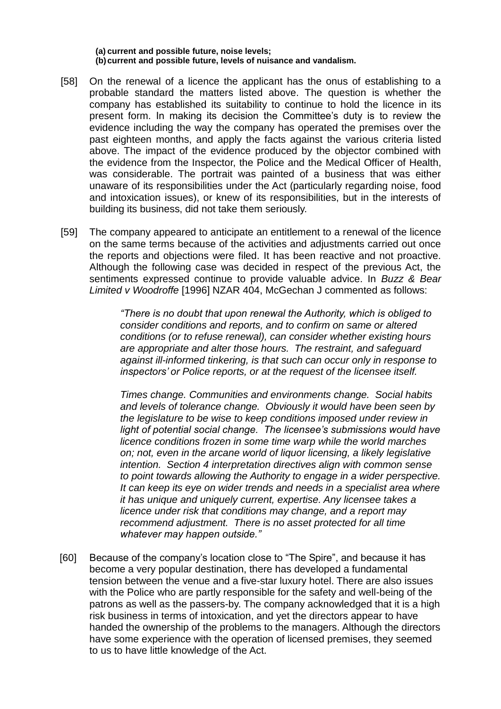**(a) current and possible future, noise levels; (b)current and possible future, levels of nuisance and vandalism.**

- [58] On the renewal of a licence the applicant has the onus of establishing to a probable standard the matters listed above. The question is whether the company has established its suitability to continue to hold the licence in its present form. In making its decision the Committee's duty is to review the evidence including the way the company has operated the premises over the past eighteen months, and apply the facts against the various criteria listed above. The impact of the evidence produced by the objector combined with the evidence from the Inspector, the Police and the Medical Officer of Health, was considerable. The portrait was painted of a business that was either unaware of its responsibilities under the Act (particularly regarding noise, food and intoxication issues), or knew of its responsibilities, but in the interests of building its business, did not take them seriously.
- [59] The company appeared to anticipate an entitlement to a renewal of the licence on the same terms because of the activities and adjustments carried out once the reports and objections were filed. It has been reactive and not proactive. Although the following case was decided in respect of the previous Act, the sentiments expressed continue to provide valuable advice. In *Buzz & Bear Limited v Woodroffe* [1996] NZAR 404, McGechan J commented as follows:

*"There is no doubt that upon renewal the Authority, which is obliged to consider conditions and reports, and to confirm on same or altered conditions (or to refuse renewal), can consider whether existing hours are appropriate and alter those hours. The restraint, and safeguard against ill-informed tinkering, is that such can occur only in response to inspectors' or Police reports, or at the request of the licensee itself.*

*Times change. Communities and environments change. Social habits and levels of tolerance change. Obviously it would have been seen by the legislature to be wise to keep conditions imposed under review in light of potential social change. The licensee's submissions would have licence conditions frozen in some time warp while the world marches on; not, even in the arcane world of liquor licensing, a likely legislative intention. Section 4 interpretation directives align with common sense to point towards allowing the Authority to engage in a wider perspective. It can keep its eye on wider trends and needs in a specialist area where it has unique and uniquely current, expertise. Any licensee takes a licence under risk that conditions may change, and a report may recommend adjustment. There is no asset protected for all time whatever may happen outside."*

[60] Because of the company's location close to "The Spire", and because it has become a very popular destination, there has developed a fundamental tension between the venue and a five-star luxury hotel. There are also issues with the Police who are partly responsible for the safety and well-being of the patrons as well as the passers-by. The company acknowledged that it is a high risk business in terms of intoxication, and yet the directors appear to have handed the ownership of the problems to the managers. Although the directors have some experience with the operation of licensed premises, they seemed to us to have little knowledge of the Act.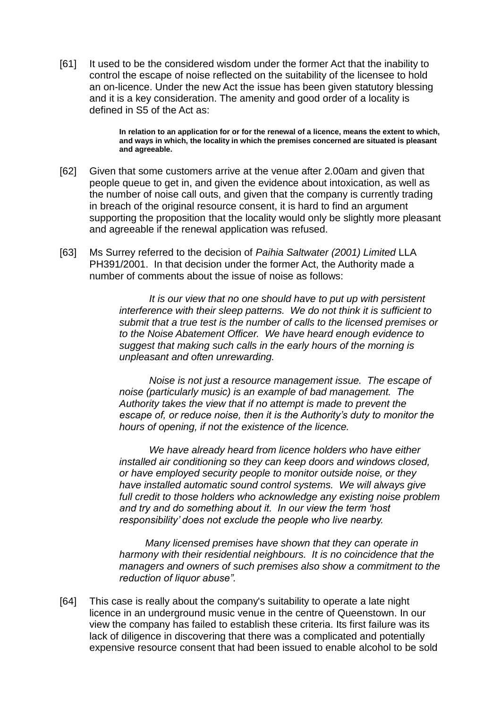[61] It used to be the considered wisdom under the former Act that the inability to control the escape of noise reflected on the suitability of the licensee to hold an on-licence. Under the new Act the issue has been given statutory blessing and it is a key consideration. The amenity and good order of a locality is defined in S5 of the Act as:

> **In relation to an application for or for the renewal of a licence, means the extent to which, and ways in which, the locality in which the premises concerned are situated is pleasant and agreeable.**

- [62] Given that some customers arrive at the venue after 2.00am and given that people queue to get in, and given the evidence about intoxication, as well as the number of noise call outs, and given that the company is currently trading in breach of the original resource consent, it is hard to find an argument supporting the proposition that the locality would only be slightly more pleasant and agreeable if the renewal application was refused.
- [63] Ms Surrey referred to the decision of *Paihia Saltwater (2001) Limited* LLA PH391/2001. In that decision under the former Act, the Authority made a number of comments about the issue of noise as follows:

*It is our view that no one should have to put up with persistent interference with their sleep patterns. We do not think it is sufficient to submit that a true test is the number of calls to the licensed premises or to the Noise Abatement Officer. We have heard enough evidence to suggest that making such calls in the early hours of the morning is unpleasant and often unrewarding.*

*Noise is not just a resource management issue. The escape of noise (particularly music) is an example of bad management. The Authority takes the view that if no attempt is made to prevent the escape of, or reduce noise, then it is the Authority's duty to monitor the hours of opening, if not the existence of the licence.* 

*We have already heard from licence holders who have either installed air conditioning so they can keep doors and windows closed, or have employed security people to monitor outside noise, or they have installed automatic sound control systems. We will always give full credit to those holders who acknowledge any existing noise problem and try and do something about it. In our view the term 'host responsibility' does not exclude the people who live nearby.*

 *Many licensed premises have shown that they can operate in harmony with their residential neighbours. It is no coincidence that the managers and owners of such premises also show a commitment to the reduction of liquor abuse".* 

[64] This case is really about the company's suitability to operate a late night licence in an underground music venue in the centre of Queenstown. In our view the company has failed to establish these criteria. Its first failure was its lack of diligence in discovering that there was a complicated and potentially expensive resource consent that had been issued to enable alcohol to be sold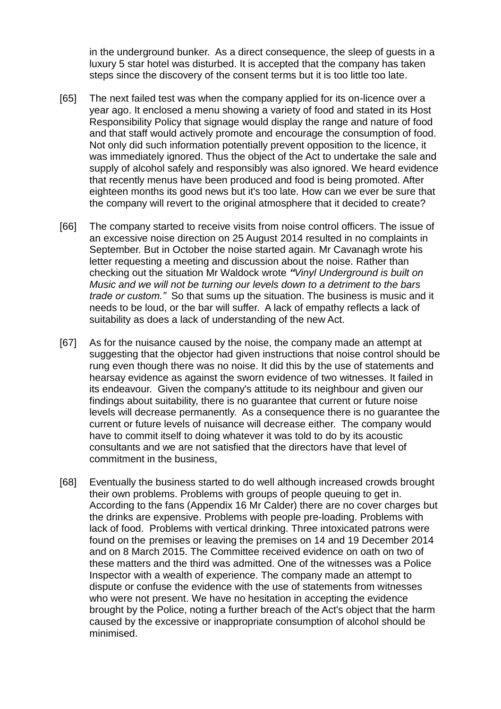in the underground bunker. As a direct consequence, the sleep of guests in a luxury 5 star hotel was disturbed. It is accepted that the company has taken steps since the discovery of the consent terms but it is too little too late.

- [65] The next failed test was when the company applied for its on-licence over a year ago. It enclosed a menu showing a variety of food and stated in its Host Responsibility Policy that signage would display the range and nature of food and that staff would actively promote and encourage the consumption of food. Not only did such information potentially prevent opposition to the licence, it was immediately ignored. Thus the object of the Act to undertake the sale and supply of alcohol safely and responsibly was also ignored. We heard evidence that recently menus have been produced and food is being promoted. After eighteen months its good news but it's too late. How can we ever be sure that the company will revert to the original atmosphere that it decided to create?
- [66] The company started to receive visits from noise control officers. The issue of an excessive noise direction on 25 August 2014 resulted in no complaints in September. But in October the noise started again. Mr Cavanagh wrote his letter requesting a meeting and discussion about the noise. Rather than checking out the situation Mr Waldock wrote *"Vinyl Underground is built on Music and we will not be turning our levels down to a detriment to the bars trade or custom."* So that sums up the situation. The business is music and it needs to be loud, or the bar will suffer. A lack of empathy reflects a lack of suitability as does a lack of understanding of the new Act.
- [67] As for the nuisance caused by the noise, the company made an attempt at suggesting that the objector had given instructions that noise control should be rung even though there was no noise. It did this by the use of statements and hearsay evidence as against the sworn evidence of two witnesses. It failed in its endeavour. Given the company's attitude to its neighbour and given our findings about suitability, there is no guarantee that current or future noise levels will decrease permanently. As a consequence there is no guarantee the current or future levels of nuisance will decrease either. The company would have to commit itself to doing whatever it was told to do by its acoustic consultants and we are not satisfied that the directors have that level of commitment in the business,
- [68] Eventually the business started to do well although increased crowds brought their own problems. Problems with groups of people queuing to get in. According to the fans (Appendix 16 Mr Calder) there are no cover charges but the drinks are expensive. Problems with people pre-loading. Problems with lack of food. Problems with vertical drinking. Three intoxicated patrons were found on the premises or leaving the premises on 14 and 19 December 2014 and on 8 March 2015. The Committee received evidence on oath on two of these matters and the third was admitted. One of the witnesses was a Police Inspector with a wealth of experience. The company made an attempt to dispute or confuse the evidence with the use of statements from witnesses who were not present. We have no hesitation in accepting the evidence brought by the Police, noting a further breach of the Act's object that the harm caused by the excessive or inappropriate consumption of alcohol should be minimised.